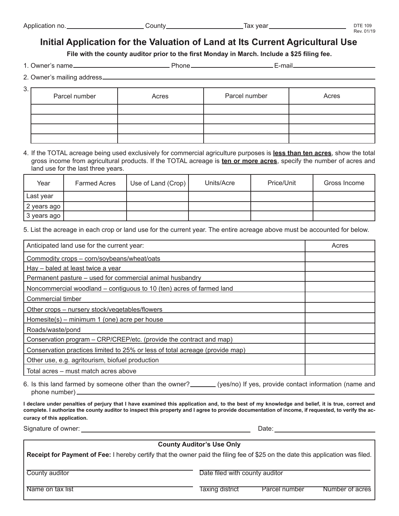## **Initial Application for the Valuation of Land at Its Current Agricultural Use**

**File with the county auditor prior to the first Monday in March. Include a \$25 filing fee.**

1. Owner's name Phone E-mail

|  |  |  | 2. Owner's mailing address_ |
|--|--|--|-----------------------------|
|--|--|--|-----------------------------|

| 3. | Parcel number | Acres | Parcel number | Acres |
|----|---------------|-------|---------------|-------|
|    |               |       |               |       |
|    |               |       |               |       |
|    |               |       |               |       |
|    |               |       |               |       |

4. If the TOTAL acreage being used exclusively for commercial agriculture purposes is **less than ten acres**, show the total gross income from agricultural products. If the TOTAL acreage is **ten or more acres**, specify the number of acres and land use for the last three years.

| Year        | <b>Farmed Acres</b> | Use of Land (Crop) | Units/Acre | Price/Unit | Gross Income |
|-------------|---------------------|--------------------|------------|------------|--------------|
| Last year   |                     |                    |            |            |              |
| 2 years ago |                     |                    |            |            |              |
| 3 years ago |                     |                    |            |            |              |

5. List the acreage in each crop or land use for the current year. The entire acreage above must be accounted for below.

| Anticipated land use for the current year:                                   | Acres |
|------------------------------------------------------------------------------|-------|
| Commodity crops - corn/soybeans/wheat/oats                                   |       |
| Hay – baled at least twice a year                                            |       |
| Permanent pasture – used for commercial animal husbandry                     |       |
| Noncommercial woodland – contiguous to 10 (ten) acres of farmed land         |       |
| Commercial timber                                                            |       |
| Other crops - nursery stock/vegetables/flowers                               |       |
| Homesite(s) – minimum 1 (one) acre per house                                 |       |
| Roads/waste/pond                                                             |       |
| Conservation program – CRP/CREP/etc. (provide the contract and map)          |       |
| Conservation practices limited to 25% or less of total acreage (provide map) |       |
| Other use, e.g. agritourism, biofuel production                              |       |
| Total acres - must match acres above                                         |       |

6. Is this land farmed by someone other than the owner?\_\_\_\_\_\_(yes/no) If yes, provide contact information (name and phone number)

**I declare under penalties of perjury that I have examined this application and, to the best of my knowledge and belief, it is true, correct and complete. I authorize the county auditor to inspect this property and I agree to provide documentation of income, if requested, to verify the accuracy of this application.**

Signature of owner: Date: Date: Date: Date: Date: Date: Date: Date: Date: Date: Date: Date: Date: Date: Date: Date: Date: Date: Date: Date: Date: Date: Date: Date: Date: Date: Date: Date: Date: Date: Date: Date: Date: Date

# **County Auditor's Use Only Receipt for Payment of Fee:** I hereby certify that the owner paid the filing fee of \$25 on the date this application was filed. County auditor **County auditor** Date filed with county auditor Name on tax list Taxing district Parcel number Number of acres